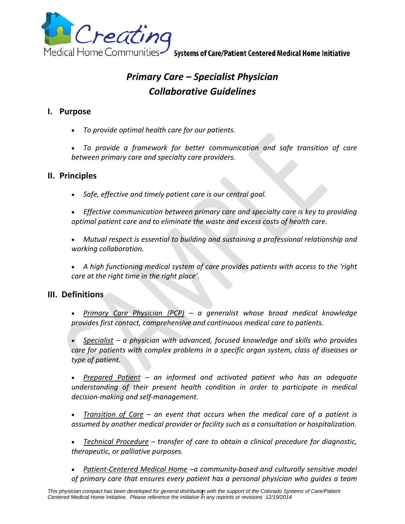

Medical Home Communities Systems of Care/Patient Centered Medical Home Initiative

# *Primary Care – Specialist Physician Collaborative Guidelines*

#### **I. Purpose**

- *To provide optimal health care for our patients.*
- *To provide a framework for better communication and safe transition of care between primary care and specialty care providers.*

#### **II. Principles**

*Safe, effective and timely patient care is our central goal.*

 *Effective communication between primary care and specialty care is key to providing optimal patient care and to eliminate the waste and excess costs of health care.*

 *Mutual respect is essential to building and sustaining a professional relationship and working collaboration.*

 *A high functioning medical system of care provides patients with access to the 'right care at the right time in the right place'.*

#### **III. Definitions**

 *Primary Care Physician (PCP) – a generalist whose broad medical knowledge provides first contact, comprehensive and continuous medical care to patients.*

 *Specialist – a physician with advanced, focused knowledge and skills who provides care for patients with complex problems in a specific organ system, class of diseases or type of patient.*

 *Prepared Patient – an informed and activated patient who has an adequate understanding of their present health condition in order to participate in medical decision‐making and self‐management.*

 *Transition of Care – an event that occurs when the medical care of a patient is assumed by another medical provider or facility such as a consultation or hospitalization.*

 *Technical Procedure – transfer of care to obtain a clinical procedure for diagnostic, therapeutic, or palliative purposes.*

 *Patient‐Centered Medical Home –a community‐based and culturally sensitive model of primary care that ensures every patient has a personal physician who guides a team*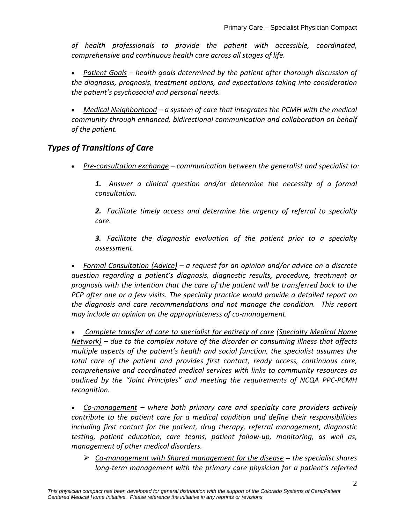*of health professionals to provide the patient with accessible, coordinated, comprehensive and continuous health care across all stages of life.*

 *Patient Goals – health goals determined by the patient after thorough discussion of the diagnosis, prognosis, treatment options, and expectations taking into consideration the patient's psychosocial and personal needs.*

 *Medical Neighborhood – a system of care that integrates the PCMH with the medical community through enhanced, bidirectional communication and collaboration on behalf of the patient.* 

## *Types of Transitions of Care*

*Pre‐consultation exchange – communication between the generalist and specialist to:*

*1. Answer a clinical question and/or determine the necessity of a formal consultation.*

*2. Facilitate timely access and determine the urgency of referral to specialty care.*

*3. Facilitate the diagnostic evaluation of the patient prior to a specialty assessment.*

 *Formal Consultation (Advice) – a request for an opinion and/or advice on a discrete question regarding a patient's diagnosis, diagnostic results, procedure, treatment or prognosis with the intention that the care of the patient will be transferred back to the PCP after one or a few visits. The specialty practice would provide a detailed report on the diagnosis and care recommendations and not manage the condition. This report may include an opinion on the appropriateness of co‐management.*

 *Complete transfer of care to specialist for entirety of care (Specialty Medical Home Network) – due to the complex nature of the disorder or consuming illness that affects multiple aspects of the patient's health and social function, the specialist assumes the total care of the patient and provides first contact, ready access, continuous care, comprehensive and coordinated medical services with links to community resources as outlined by the "Joint Principles" and meeting the requirements of NCQA PPC‐PCMH recognition.*

 *Co‐management – where both primary care and specialty care providers actively contribute to the patient care for a medical condition and define their responsibilities including first contact for the patient, drug therapy, referral management, diagnostic testing, patient education, care teams, patient follow‐up, monitoring, as well as, management of other medical disorders.*

 *Co‐management with Shared management for the disease ‐‐ the specialist shares long‐term management with the primary care physician for a patient's referred*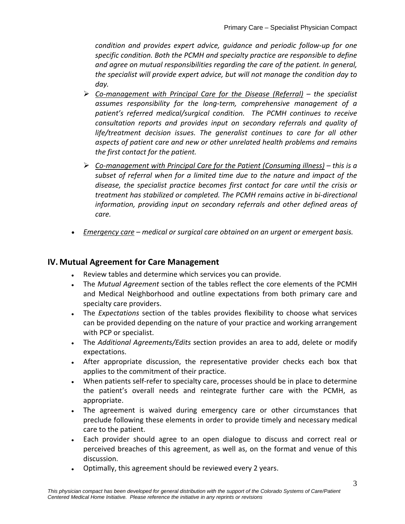*condition and provides expert advice, guidance and periodic follow‐up for one specific condition. Both the PCMH and specialty practice are responsible to define and agree on mutual responsibilities regarding the care of the patient. In general, the specialist will provide expert advice, but will not manage the condition day to day.*

- *Co‐management with Principal Care for the Disease (Referral) – the specialist assumes responsibility for the long‐term, comprehensive management of a patient's referred medical/surgical condition. The PCMH continues to receive consultation reports and provides input on secondary referrals and quality of life/treatment decision issues. The generalist continues to care for all other aspects of patient care and new or other unrelated health problems and remains the first contact for the patient.*
- *Co‐management with Principal Care for the Patient (Consuming illness) – this is a subset of referral when for a limited time due to the nature and impact of the disease, the specialist practice becomes first contact for care until the crisis or treatment has stabilized or completed. The PCMH remains active in bi‐directional information, providing input on secondary referrals and other defined areas of care.*
- *Emergency care – medical or surgical care obtained on an urgent or emergent basis.*

## **IV. Mutual Agreement for Care Management**

- Review tables and determine which services you can provide.
- The *Mutual Agreement* section of the tables reflect the core elements of the PCMH and Medical Neighborhood and outline expectations from both primary care and specialty care providers.
- The *Expectations* section of the tables provides flexibility to choose what services can be provided depending on the nature of your practice and working arrangement with PCP or specialist.
- The *Additional Agreements/Edits* section provides an area to add, delete or modify expectations.
- After appropriate discussion, the representative provider checks each box that applies to the commitment of their practice.
- When patients self-refer to specialty care, processes should be in place to determine the patient's overall needs and reintegrate further care with the PCMH, as appropriate.
- The agreement is waived during emergency care or other circumstances that preclude following these elements in order to provide timely and necessary medical care to the patient.
- Each provider should agree to an open dialogue to discuss and correct real or perceived breaches of this agreement, as well as, on the format and venue of this discussion.
- Optimally, this agreement should be reviewed every 2 years.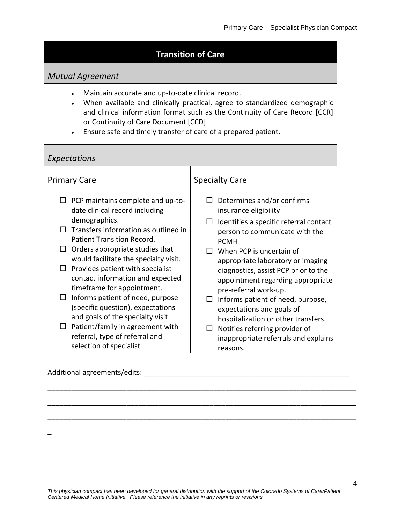## **Transition of Care**

## *Mutual Agreement*

- Maintain accurate and up‐to‐date clinical record.
- When available and clinically practical, agree to standardized demographic and clinical information format such as the Continuity of Care Record [CCR] or Continuity of Care Document [CCD]
- Ensure safe and timely transfer of care of a prepared patient.

## *Expectations*

| <b>Primary Care</b>                                                                                            | <b>Specialty Care</b>                                                                                 |
|----------------------------------------------------------------------------------------------------------------|-------------------------------------------------------------------------------------------------------|
| PCP maintains complete and up-to-<br>ப<br>date clinical record including                                       | Determines and/or confirms<br>insurance eligibility                                                   |
| demographics.<br>Transfers information as outlined in<br>$\mathsf{L}$<br>Patient Transition Record.            | Identifies a specific referral contact<br>person to communicate with the<br><b>PCMH</b>               |
| Orders appropriate studies that<br>$\Box$<br>would facilitate the specialty visit.                             | When PCP is uncertain of<br>appropriate laboratory or imaging                                         |
| Provides patient with specialist<br>$\Box$<br>contact information and expected<br>timeframe for appointment.   | diagnostics, assist PCP prior to the<br>appointment regarding appropriate<br>pre-referral work-up.    |
| Informs patient of need, purpose<br>⊔<br>(specific question), expectations<br>and goals of the specialty visit | Informs patient of need, purpose,<br>expectations and goals of<br>hospitalization or other transfers. |
| Patient/family in agreement with<br>ப<br>referral, type of referral and<br>selection of specialist             | Notifies referring provider of<br>inappropriate referrals and explains<br>reasons.                    |

Additional agreements/edits: \_\_\_\_\_\_\_\_\_\_\_\_\_\_\_\_\_\_\_\_\_\_\_\_\_\_\_\_\_\_\_\_\_\_\_\_\_\_\_\_\_\_\_\_\_\_\_\_\_\_\_\_

\_

\_\_\_\_\_\_\_\_\_\_\_\_\_\_\_\_\_\_\_\_\_\_\_\_\_\_\_\_\_\_\_\_\_\_\_\_\_\_\_\_\_\_\_\_\_\_\_\_\_\_\_\_\_\_\_\_\_\_\_\_\_\_\_\_\_\_\_\_\_\_\_\_\_\_\_\_\_\_

\_\_\_\_\_\_\_\_\_\_\_\_\_\_\_\_\_\_\_\_\_\_\_\_\_\_\_\_\_\_\_\_\_\_\_\_\_\_\_\_\_\_\_\_\_\_\_\_\_\_\_\_\_\_\_\_\_\_\_\_\_\_\_\_\_\_\_\_\_\_\_\_\_\_\_\_\_\_

\_\_\_\_\_\_\_\_\_\_\_\_\_\_\_\_\_\_\_\_\_\_\_\_\_\_\_\_\_\_\_\_\_\_\_\_\_\_\_\_\_\_\_\_\_\_\_\_\_\_\_\_\_\_\_\_\_\_\_\_\_\_\_\_\_\_\_\_\_\_\_\_\_\_\_\_\_\_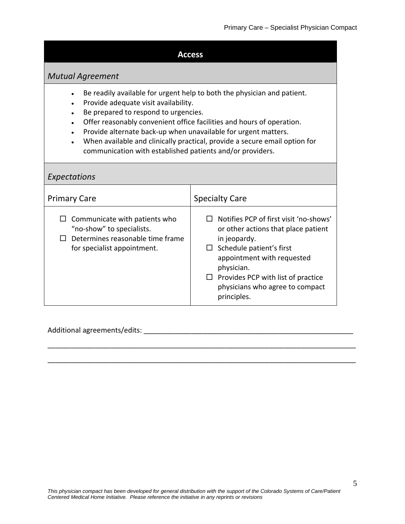#### **Access**

## *Mutual Agreement*

- Be readily available for urgent help to both the physician and patient.
- Provide adequate visit availability.
- Be prepared to respond to urgencies.
- Offer reasonably convenient office facilities and hours of operation.
- Provide alternate back-up when unavailable for urgent matters.
- When available and clinically practical, provide a secure email option for communication with established patients and/or providers.

#### *Expectations* Primary Care Specialty Care  $\square$  Communicate with patients who "no‐show" to specialists.  $\Box$  Determines reasonable time frame for specialist appointment. □ Notifies PCP of first visit 'no-shows' or other actions that place patient in jeopardy.  $\square$  Schedule patient's first appointment with requested physician.  $\Box$  Provides PCP with list of practice physicians who agree to compact principles.

\_\_\_\_\_\_\_\_\_\_\_\_\_\_\_\_\_\_\_\_\_\_\_\_\_\_\_\_\_\_\_\_\_\_\_\_\_\_\_\_\_\_\_\_\_\_\_\_\_\_\_\_\_\_\_\_\_\_\_\_\_\_\_\_\_\_\_\_\_\_\_\_\_\_\_\_\_\_

\_\_\_\_\_\_\_\_\_\_\_\_\_\_\_\_\_\_\_\_\_\_\_\_\_\_\_\_\_\_\_\_\_\_\_\_\_\_\_\_\_\_\_\_\_\_\_\_\_\_\_\_\_\_\_\_\_\_\_\_\_\_\_\_\_\_\_\_\_\_\_\_\_\_\_\_\_\_

#### Additional agreements/edits: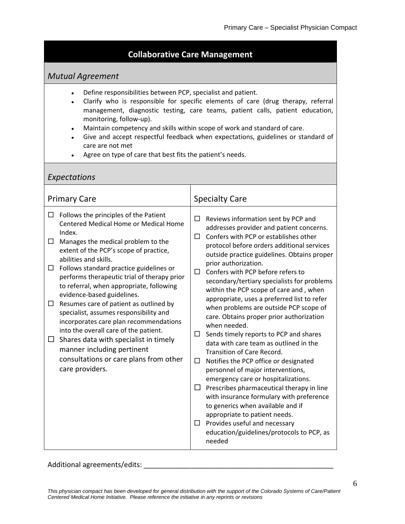## **Collaborative Care Management**

## *Mutual Agreement*

- Define responsibilities between PCP, specialist and patient.
- Clarify who is responsible for specific elements of care (drug therapy, referral management, diagnostic testing, care teams, patient calls, patient education, monitoring, follow‐up).
- Maintain competency and skills within scope of work and standard of care.
- Give and accept respectful feedback when expectations, guidelines or standard of care are not met
- Agree on type of care that best fits the patient's needs.

#### *Expectations* Primary Care Specialty Care  $\Box$  Follows the principles of the Patient Centered Medical Home or Medical Home Index.  $\Box$  Manages the medical problem to the extent of the PCP's scope of practice, abilities and skills.  $\Box$  Follows standard practice guidelines or performs therapeutic trial of therapy prior to referral, when appropriate, following evidence‐based guidelines.  $\Box$  Resumes care of patient as outlined by specialist, assumes responsibility and incorporates care plan recommendations into the overall care of the patient.  $\Box$  Shares data with specialist in timely manner including pertinent consultations or care plans from other care providers.  $\Box$  Reviews information sent by PCP and addresses provider and patient concerns.  $\square$  Confers with PCP or establishes other protocol before orders additional services outside practice guidelines. Obtains proper prior authorization.  $\Box$  Confers with PCP before refers to secondary/tertiary specialists for problems within the PCP scope of care and , when appropriate, uses a preferred list to refer when problems are outside PCP scope of care. Obtains proper prior authorization when needed.  $\Box$  Sends timely reports to PCP and shares data with care team as outlined in the Transition of Care Record.  $\Box$  Notifies the PCP office or designated personnel of major interventions, emergency care or hospitalizations.  $\Box$  Prescribes pharmaceutical therapy in line with insurance formulary with preference to generics when available and if appropriate to patient needs.  $\square$  Provides useful and necessary education/guidelines/protocols to PCP, as needed

#### Additional agreements/edits: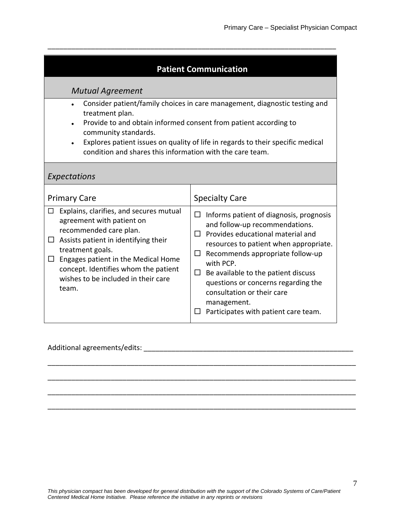| <b>Patient Communication</b> |
|------------------------------|

\_\_\_\_\_\_\_\_\_\_\_\_\_\_\_\_\_\_\_\_\_\_\_\_\_\_\_\_\_\_\_\_\_\_\_\_\_\_\_\_\_\_\_\_\_\_\_\_\_\_\_\_\_\_\_\_\_\_\_\_\_\_\_\_\_\_\_\_\_\_\_\_\_

#### *Mutual Agreement*

- Consider patient/family choices in care management, diagnostic testing and treatment plan.
- Provide to and obtain informed consent from patient according to community standards.
- Explores patient issues on quality of life in regards to their specific medical condition and shares this information with the care team.

#### *Expectations*

| <b>Primary Care</b>                                                                                                                                                                                                                                                                       | <b>Specialty Care</b>                                                                                                                                                                                                                                                                                                                                                                         |
|-------------------------------------------------------------------------------------------------------------------------------------------------------------------------------------------------------------------------------------------------------------------------------------------|-----------------------------------------------------------------------------------------------------------------------------------------------------------------------------------------------------------------------------------------------------------------------------------------------------------------------------------------------------------------------------------------------|
| Explains, clarifies, and secures mutual<br>agreement with patient on<br>recommended care plan.<br>Assists patient in identifying their<br>treatment goals.<br>Engages patient in the Medical Home<br>concept. Identifies whom the patient<br>wishes to be included in their care<br>team. | $\Box$ Informs patient of diagnosis, prognosis<br>and follow-up recommendations.<br>Provides educational material and<br>resources to patient when appropriate.<br>Recommends appropriate follow-up<br>ப<br>with PCP.<br>Be available to the patient discuss<br>ப<br>questions or concerns regarding the<br>consultation or their care<br>management.<br>Participates with patient care team. |

\_\_\_\_\_\_\_\_\_\_\_\_\_\_\_\_\_\_\_\_\_\_\_\_\_\_\_\_\_\_\_\_\_\_\_\_\_\_\_\_\_\_\_\_\_\_\_\_\_\_\_\_\_\_\_\_\_\_\_\_\_\_\_\_\_\_\_\_\_\_\_\_\_\_\_\_\_\_

\_\_\_\_\_\_\_\_\_\_\_\_\_\_\_\_\_\_\_\_\_\_\_\_\_\_\_\_\_\_\_\_\_\_\_\_\_\_\_\_\_\_\_\_\_\_\_\_\_\_\_\_\_\_\_\_\_\_\_\_\_\_\_\_\_\_\_\_\_\_\_\_\_\_\_\_\_\_

\_\_\_\_\_\_\_\_\_\_\_\_\_\_\_\_\_\_\_\_\_\_\_\_\_\_\_\_\_\_\_\_\_\_\_\_\_\_\_\_\_\_\_\_\_\_\_\_\_\_\_\_\_\_\_\_\_\_\_\_\_\_\_\_\_\_\_\_\_\_\_\_\_\_\_\_\_\_

\_\_\_\_\_\_\_\_\_\_\_\_\_\_\_\_\_\_\_\_\_\_\_\_\_\_\_\_\_\_\_\_\_\_\_\_\_\_\_\_\_\_\_\_\_\_\_\_\_\_\_\_\_\_\_\_\_\_\_\_\_\_\_\_\_\_\_\_\_\_\_\_\_\_\_\_\_\_

#### Additional agreements/edits: \_\_\_\_\_\_\_\_\_\_\_\_\_\_\_\_\_\_\_\_\_\_\_\_\_\_\_\_\_\_\_\_\_\_\_\_\_\_\_\_\_\_\_\_\_\_\_\_\_\_\_\_\_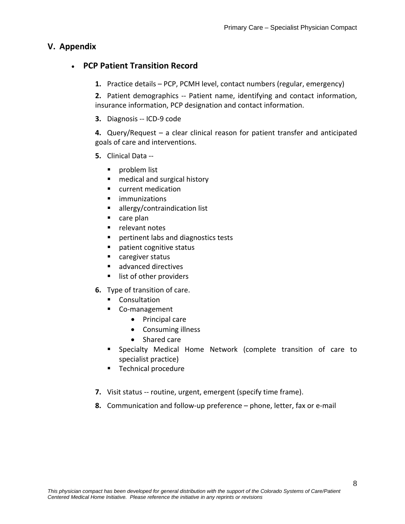## **V. Appendix**

## **PCP Patient Transition Record**

**1.** Practice details – PCP, PCMH level, contact numbers (regular, emergency)

**2.** Patient demographics ‐‐ Patient name, identifying and contact information, insurance information, PCP designation and contact information.

**3.** Diagnosis ‐‐ ICD‐9 code

**4.** Query/Request – a clear clinical reason for patient transfer and anticipated goals of care and interventions.

- **5.** Clinical Data ‐‐
	- **problem list**
	- medical and surgical history
	- **ulterat** medication
	- **ulle** immunizations
	- **allergy/contraindication list**
	- care plan
	- **P** relevant notes
	- **Pertinent labs and diagnostics tests**
	- patient cognitive status
	- caregiver status
	- advanced directives
	- **I** list of other providers
- **6.** Type of transition of care.
	- **Consultation**
	- Co-management
		- Principal care
		- Consuming illness
		- Shared care
	- Specialty Medical Home Network (complete transition of care to specialist practice)
	- **Technical procedure**
- **7.** Visit status -- routine, urgent, emergent (specify time frame).
- **8.** Communication and follow‐up preference phone, letter, fax or e‐mail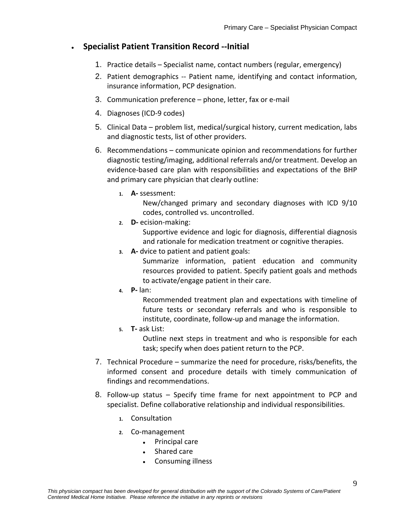## **Specialist Patient Transition Record ‐‐Initial**

- 1. Practice details Specialist name, contact numbers (regular, emergency)
- 2. Patient demographics ‐‐ Patient name, identifying and contact information, insurance information, PCP designation.
- 3. Communication preference phone, letter, fax or e‐mail
- 4. Diagnoses (ICD‐9 codes)
- 5. Clinical Data problem list, medical/surgical history, current medication, labs and diagnostic tests, list of other providers.
- 6. Recommendations communicate opinion and recommendations for further diagnostic testing/imaging, additional referrals and/or treatment. Develop an evidence‐based care plan with responsibilities and expectations of the BHP and primary care physician that clearly outline:
	- **1. A‐** ssessment:

New/changed primary and secondary diagnoses with ICD 9/10 codes, controlled vs. uncontrolled.

**2. D‐** ecision‐making:

Supportive evidence and logic for diagnosis, differential diagnosis and rationale for medication treatment or cognitive therapies.

**3. A‐** dvice to patient and patient goals:

Summarize information, patient education and community resources provided to patient. Specify patient goals and methods to activate/engage patient in their care.

**4. P‐** lan:

Recommended treatment plan and expectations with timeline of future tests or secondary referrals and who is responsible to institute, coordinate, follow‐up and manage the information.

**5. T‐** ask List:

Outline next steps in treatment and who is responsible for each task; specify when does patient return to the PCP.

- 7. Technical Procedure summarize the need for procedure, risks/benefits, the informed consent and procedure details with timely communication of findings and recommendations.
- 8. Follow‐up status Specify time frame for next appointment to PCP and specialist. Define collaborative relationship and individual responsibilities.
	- **1.** Consultation
	- **2.** Co‐management
		- Principal care
		- Shared care
		- Consuming illness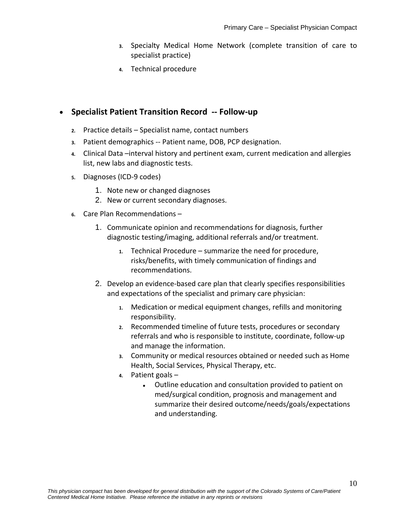- **3.** Specialty Medical Home Network (complete transition of care to specialist practice)
- **4.** Technical procedure

#### **Specialist Patient Transition Record ‐‐ Follow‐up**

- **2.** Practice details Specialist name, contact numbers
- **3.** Patient demographics ‐‐ Patient name, DOB, PCP designation.
- **4.** Clinical Data –interval history and pertinent exam, current medication and allergies list, new labs and diagnostic tests.
- **5.** Diagnoses (ICD‐9 codes)
	- 1. Note new or changed diagnoses
	- 2. New or current secondary diagnoses.
- **6.** Care Plan Recommendations
	- 1. Communicate opinion and recommendations for diagnosis, further diagnostic testing/imaging, additional referrals and/or treatment.
		- **1.** Technical Procedure summarize the need for procedure, risks/benefits, with timely communication of findings and recommendations.
	- 2. Develop an evidence-based care plan that clearly specifies responsibilities and expectations of the specialist and primary care physician:
		- **1.** Medication or medical equipment changes, refills and monitoring responsibility.
		- **2.** Recommended timeline of future tests, procedures or secondary referrals and who is responsible to institute, coordinate, follow‐up and manage the information.
		- **3.** Community or medical resources obtained or needed such as Home Health, Social Services, Physical Therapy, etc.
		- **4.** Patient goals
			- Outline education and consultation provided to patient on med/surgical condition, prognosis and management and summarize their desired outcome/needs/goals/expectations and understanding.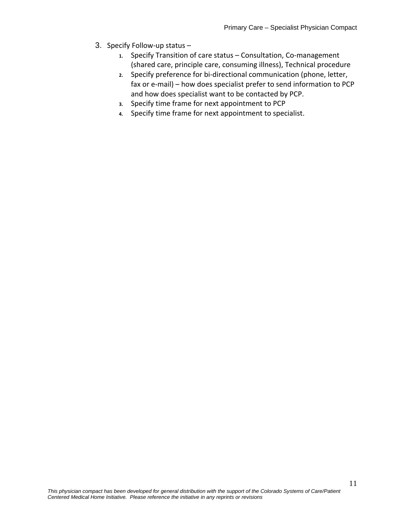- 3. Specify Follow‐up status
	- 1. Specify Transition of care status Consultation, Co-management (shared care, principle care, consuming illness), Technical procedure
	- **2.** Specify preference for bi‐directional communication (phone, letter, fax or e-mail) – how does specialist prefer to send information to PCP and how does specialist want to be contacted by PCP.
	- **3.** Specify time frame for next appointment to PCP
	- **4.** Specify time frame for next appointment to specialist.